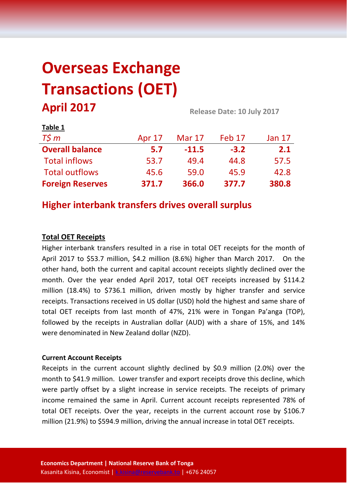# **Overseas Exchange Transactions (OET) April 2017 Release Date: 10 July <sup>2017</sup>**

| Table 1                 |               |               |        |               |
|-------------------------|---------------|---------------|--------|---------------|
| $T\zeta m$              | <b>Apr 17</b> | <b>Mar 17</b> | Feb 17 | <b>Jan 17</b> |
| <b>Overall balance</b>  | 5.7           | $-11.5$       | $-3.2$ | 2.1           |
| <b>Total inflows</b>    | 53.7          | 49.4          | 44.8   | 57.5          |
| <b>Total outflows</b>   | 45.6          | 59.0          | 45.9   | 42.8          |
| <b>Foreign Reserves</b> | 371.7         | 366.0         | 377.7  | 380.8         |

## **Higher interbank transfers drives overall surplus**

## **Total OET Receipts**

Higher interbank transfers resulted in a rise in total OET receipts for the month of April 2017 to \$53.7 million, \$4.2 million (8.6%) higher than March 2017. On the other hand, both the current and capital account receipts slightly declined over the month. Over the year ended April 2017, total OET receipts increased by \$114.2 million (18.4%) to \$736.1 million, driven mostly by higher transfer and service receipts. Transactions received in US dollar (USD) hold the highest and same share of total OET receipts from last month of 47%, 21% were in Tongan Pa'anga (TOP), followed by the receipts in Australian dollar (AUD) with a share of 15%, and 14% were denominated in New Zealand dollar (NZD).

## **Current Account Receipts**

Receipts in the current account slightly declined by \$0.9 million (2.0%) over the month to \$41.9 million. Lower transfer and export receipts drove this decline, which were partly offset by a slight increase in service receipts. The receipts of primary income remained the same in April. Current account receipts represented 78% of total OET receipts. Over the year, receipts in the current account rose by \$106.7 million (21.9%) to \$594.9 million, driving the annual increase in total OET receipts.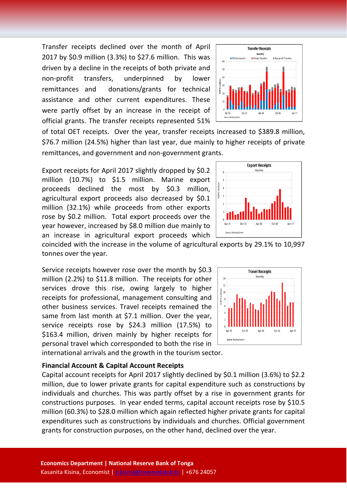Transfer receipts declined over the month of April 2017 by \$0.9 million (3.3%) to \$27.6 million. This was driven by a decline in the receipts of both private and non-profit transfers, underpinned by lower remittances and donations/grants for technical assistance and other current expenditures. These were partly offset by an increase in the receipt of official grants. The transfer receipts represented 51%

**Transfer Receipts** Monthly III Non-profit Transfer Private Transfers Official transfers

of total OET receipts. Over the year, transfer receipts increased to \$389.8 million, \$76.7 million (24.5%) higher than last year, due mainly to higher receipts of private remittances, and government and non-government grants.

Export receipts for April 2017 slightly dropped by \$0.2 million (10.7%) to \$1.5 million. Marine export proceeds declined the most by \$0.3 million, agricultural export proceeds also decreased by \$0.1 million (32.1%) while proceeds from other exports rose by \$0.2 million. Total export proceeds over the year however, increased by \$8.0 million due mainly to an increase in agricultural export proceeds which



coincided with the increase in the volume of agricultural exports by 29.1% to 10,997 tonnes over the year.

Service receipts however rose over the month by \$0.3 million (2.2%) to \$11.8 million. The receipts for other services drove this rise, owing largely to higher receipts for professional, management consulting and other business services. Travel receipts remained the same from last month at \$7.1 million. Over the year, service receipts rose by \$24.3 million (17.5%) to \$163.4 million, driven mainly by higher receipts for personal travel which corresponded to both the rise in international arrivals and the growth in the tourism sector.



#### **Financial Account & Capital Account Receipts**

Capital account receipts for April 2017 slightly declined by \$0.1 million (3.6%) to \$2.2 million, due to lower private grants for capital expenditure such as constructions by individuals and churches. This was partly offset by a rise in government grants for constructions purposes. In year ended terms, capital account receipts rose by \$10.5 million (60.3%) to \$28.0 million which again reflected higher private grants for capital expenditures such as constructions by individuals and churches. Official government grants for construction purposes, on the other hand, declined over the year.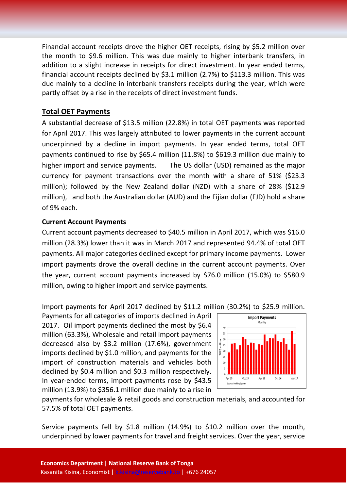Financial account receipts drove the higher OET receipts, rising by \$5.2 million over the month to \$9.6 million. This was due mainly to higher interbank transfers, in addition to a slight increase in receipts for direct investment. In year ended terms, financial account receipts declined by \$3.1 million (2.7%) to \$113.3 million. This was due mainly to a decline in interbank transfers receipts during the year, which were partly offset by a rise in the receipts of direct investment funds.

## **Total OET Payments**

A substantial decrease of \$13.5 million (22.8%) in total OET payments was reported for April 2017. This was largely attributed to lower payments in the current account underpinned by a decline in import payments. In year ended terms, total OET payments continued to rise by \$65.4 million (11.8%) to \$619.3 million due mainly to higher import and service payments. The US dollar (USD) remained as the major currency for payment transactions over the month with a share of 51% (\$23.3 million); followed by the New Zealand dollar (NZD) with a share of 28% (\$12.9 million), and both the Australian dollar (AUD) and the Fijian dollar (FJD) hold a share of 9% each.

## **Current Account Payments**

Current account payments decreased to \$40.5 million in April 2017, which was \$16.0 million (28.3%) lower than it was in March 2017 and represented 94.4% of total OET payments. All major categories declined except for primary income payments. Lower import payments drove the overall decline in the current account payments. Over the year, current account payments increased by \$76.0 million (15.0%) to \$580.9 million, owing to higher import and service payments.

Import payments for April 2017 declined by \$11.2 million (30.2%) to \$25.9 million.

Payments for all categories of imports declined in April 2017. Oil import payments declined the most by \$6.4 million (63.3%), Wholesale and retail import payments decreased also by \$3.2 million (17.6%), government imports declined by \$1.0 million, and payments for the import of construction materials and vehicles both declined by \$0.4 million and \$0.3 million respectively. In year-ended terms, import payments rose by \$43.5 million (13.9%) to \$356.1 million due mainly to a rise in



payments for wholesale & retail goods and construction materials, and accounted for 57.5% of total OET payments.

Service payments fell by \$1.8 million (14.9%) to \$10.2 million over the month, underpinned by lower payments for travel and freight services. Over the year, service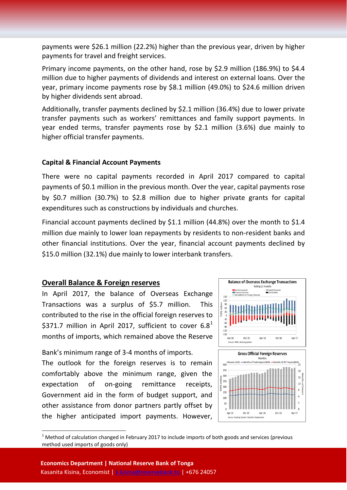payments were \$26.1 million (22.2%) higher than the previous year, driven by higher payments for travel and freight services.

Primary income payments, on the other hand, rose by \$2.9 million (186.9%) to \$4.4 million due to higher payments of dividends and interest on external loans. Over the year, primary income payments rose by \$8.1 million (49.0%) to \$24.6 million driven by higher dividends sent abroad.

Additionally, transfer payments declined by \$2.1 million (36.4%) due to lower private transfer payments such as workers' remittances and family support payments. In year ended terms, transfer payments rose by \$2.1 million (3.6%) due mainly to higher official transfer payments.

## **Capital & Financial Account Payments**

There were no capital payments recorded in April 2017 compared to capital payments of \$0.1 million in the previous month. Over the year, capital payments rose by \$0.7 million (30.7%) to \$2.8 million due to higher private grants for capital expenditures such as constructions by individuals and churches.

Financial account payments declined by \$1.1 million (44.8%) over the month to \$1.4 million due mainly to lower loan repayments by residents to non-resident banks and other financial institutions. Over the year, financial account payments declined by \$15.0 million (32.1%) due mainly to lower interbank transfers.

## **Overall Balance & Foreign reserves**

In April 2017, the balance of Overseas Exchange Transactions was a surplus of \$5.7 million. This contributed to the rise in the official foreign reserves to \$37[1](#page-3-0).7 million in April 2017, sufficient to cover  $6.8<sup>1</sup>$ months of imports, which remained above the Reserve

Bank's minimum range of 3-4 months of imports.

The outlook for the foreign reserves is to remain comfortably above the minimum range, given the expectation of on-going remittance receipts, Government aid in the form of budget support, and other assistance from donor partners partly offset by the higher anticipated import payments. However,



<span id="page-3-0"></span> $1$  Method of calculation changed in February 2017 to include imports of both goods and services (previous method used imports of goods only)